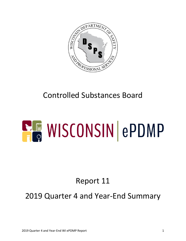

## Controlled Substances Board

# **ELE WISCONSIN ePDMP**

# Report 11

## 2019 Quarter 4 and Year-End Summary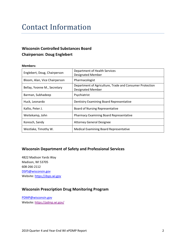### **Contact Information**

#### **Wisconsin Controlled Substances Board Chairperson: Doug Englebert**

#### **Members:**

| Englebert, Doug, Chairperson  | Department of Health Services<br><b>Designated Member</b>                            |  |
|-------------------------------|--------------------------------------------------------------------------------------|--|
| Bloom, Alan, Vice Chairperson | Pharmacologist                                                                       |  |
| Bellay, Yvonne M., Secretary  | Department of Agriculture, Trade and Consumer Protection<br><b>Designated Member</b> |  |
| Barman, Subhadeep             | Psychiatrist                                                                         |  |
| Huck, Leonardo                | Dentistry Examining Board Representative                                             |  |
| Kallio, Peter J.              | <b>Board of Nursing Representative</b>                                               |  |
| Weitekamp, John               | <b>Pharmacy Examining Board Representative</b>                                       |  |
| Koresch, Sandy                | <b>Attorney General Designee</b>                                                     |  |
| Westlake, Timothy W.          | Medical Examining Board Representative                                               |  |

#### **Wisconsin Department of Safety and Professional Services**

4822 Madison Yards Way Madison, WI 53705 608-266-2112 DSPS@wisconsin.gov Website: https://dsps.wi.gov

#### **Wisconsin Prescription Drug Monitoring Program**

PDMP@wisconsin.gov Website: https://pdmp.wi.gov/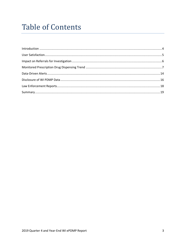### **Table of Contents**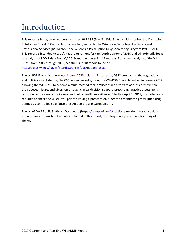## Introduction

This report is being provided pursuant to ss.  $961.385$  (5) – (6), Wis. Stats., which requires the Controlled Substances Board (CSB) to submit a quarterly report to the Wisconsin Department of Safety and Professional Services (DSPS) about the Wisconsin Prescription Drug Monitoring Program (WI PDMP). This report is intended to satisfy that requirement for the fourth quarter of 2019 and will primarily focus on analysis of PDMP data from Q4 2019 and the preceding 12 months. For annual analysis of the WI PDMP from 2015 through 2018, see the Q4 2018 report found at https://dsps.wi.gov/Pages/BoardsCouncils/CSB/Reports.aspx.

The WI PDMP was first deployed in June 2013. It is administered by DSPS pursuant to the regulations and policies established by the CSB. An enhanced system, the WI ePDMP, was launched in January 2017, allowing the WI PDMP to become a multi-faceted tool in Wisconsin's efforts to address prescription drug abuse, misuse, and diversion through clinical decision support, prescribing practice assessment, communication among disciplines, and public health surveillance. Effective April 1, 2017, prescribers are required to check the WI ePDMP prior to issuing a prescription order for a monitored prescription drug, defined as controlled substance prescription drugs in Schedules II-V.

The WI ePDMP Public Statistics Dashboard (https://pdmp.wi.gov/statistics) provides interactive data visualizations for much of the data contained in this report, including county-level data for many of the charts.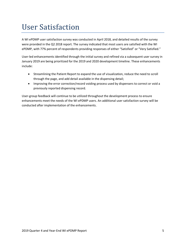#### User Satisfaction

A WI ePDMP user satisfaction survey was conducted in April 2018, and detailed results of the survey were provided in the Q2 2018 report. The survey indicated that most users are satisfied with the WI ePDMP, with 77% percent of respondents providing responses of either "Satisfied" or "Very Satisfied."

User-led enhancements identified through the initial survey and refined via a subsequent user survey in January 2019 are being prioritized for the 2019 and 2020 development timeline. These enhancements include:

- Streamlining the Patient Report to expand the use of visualization, reduce the need to scroll through the page, and add detail available in the dispensing detail;
- Improving the error correction/record voiding process used by dispensers to correct or void a previously reported dispensing record.

User-group feedback will continue to be utilized throughout the development process to ensure enhancements meet the needs of the WI ePDMP users. An additional user satisfaction survey will be conducted after implementation of the enhancements.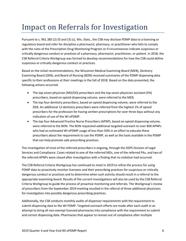#### Impact on Referrals for Investigation

Pursuant to s. 961.385 (2) (f) and (3) (c), Wis. Stats., the CSB may disclose PDMP data to a licensing or regulatory board and refer for discipline a pharmacist, pharmacy, or practitioner who fails to comply with the rules of the Prescription Drug Monitoring Program or if circumstances indicate suspicious or critically dangerous conduct or practices of a pharmacy, pharmacist, practitioner, or patient. In 2018, the CSB Referral Criteria Workgroup was formed to develop recommendations for how the CSB could define suspicious or critically dangerous conduct or practices.

Based on the initial recommendations, the Wisconsin Medical Examining Board (MEB), Dentistry Examining Board (DEB), and Board of Nursing (BON) received summaries of the PDMP dispensing data specific to their professions at their meetings in the fall of 2018. Based on the data presented, the following actions occurred:

- The top seven physician (MD/DO) prescribers and the top seven physician assistant (PA) prescribers, based on opioid dispensing volume, were referred to the MEB.
- The top four dentistry prescribers, based on opioid dispensing volume, were referred to the DEB. An additional 12 dentistry prescribers were referred from the highest 1% of opioid prescribers for the profession for having written prescriptions for over three days without any indication of use of the WI ePDMP.
- The top four Advanced Practice Nurse Prescribers (APNP), based on opioid dispensing volume, were referred to the BON. The BON requested additional targeted outreach to over 800 APNPs who had an estimated WI ePDMP usage of less than 50% in an effort to educate these prescribers about the requirement to use the PDMP, as well as the tools available in the PDMP that can help promote safe prescribing practices.

The investigation of most of the referred prescribers is ongoing, through the DSPS Division of Legal Services and Compliance. Cases related to one of the referred MDs, one of the referred PAs, and two of the referred APNPs were closed after investigation with a finding that no violation had occurred.

The CSB Referral Criteria Workgroup has continued to meet in 2019 to refine the process for using PDMP data to proactively monitor licensees and their prescribing practices for suspicious or critically dangerous conduct or practices and to determine when such activity should result in a referral to the appropriate examining board. Results of the current investigations will also be used by the CSB Referral Criteria Workgroup to guide the process of proactive monitoring and referrals. The Workgroup's review of prescribers from the September 2019 meeting resulted in the referral of three additional physicians for investigation into possibly dangerous prescribing practices.

Additionally, the CSB conducts monthly audits of dispenser requirements with the requirement to submit dispensing data to the WI PDMP. Targeted outreach efforts are made after each audit in an attempt to bring all non-exempt licensed pharmacies into compliance with the requirement to submit and correct dispensing data. Pharmacies that appear to remain out of compliance after multiple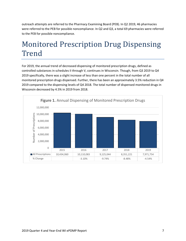outreach attempts are referred to the Pharmacy Examining Board (PEB). In Q2 2019, 46 pharmacies were referred to the PEB for possible noncompliance. In Q2 and Q3, a total 69 pharmacies were referred to the PEB for possible noncompliance.

## **Monitored Prescription Drug Dispensing** Trend

For 2019, the annual trend of decreased dispensing of monitored prescription drugs, defined as controlled substances in schedules II through V, continues in Wisconsin. Though, from Q3 2019 to Q4 2019 specifically, there was a slight increase of less than one percent in the total number of all monitored prescription drugs dispensed. Further, there has been an approximately 3.5% reduction in Q4 2019 compared to the dispensing levels of Q4 2018. The total number of dispensed monitored drugs in Wisconsin decreased by 4.5% in 2019 from 2018.

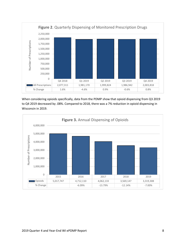

When considering opioids specifically, data from the PDMP show that opioid dispensing from Q3 2019 to Q4 2019 decreased by .08%. Compared to 2018, there was a 7% reduction in opioid dispensing in Wisconsin in 2019.

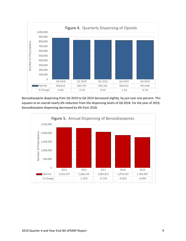

Benzodiazepine dispensing from Q3 2019 to Q4 2019 decreased slightly, by just over one percent. This equates to an overall nearly 6% reduction from the dispensing levels of Q4 2018. For the year of 2019, benzodiazepine dispensing decreased by 6% from 2018.

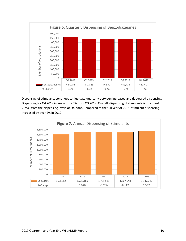

Dispensing of stimulants continues to fluctuate quarterly between increased and decreased dispensing. Dispensing for Q4 2019 increased by 5% from Q3 2019. Overall, dispensing of stimulants is up almost 2.75% from the dispensing levels of Q4 2018. Compared to the full year of 2018, stimulant dispensing increased by over 2% in 2019

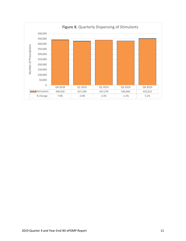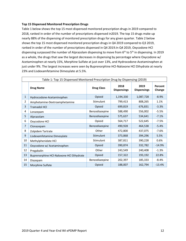#### **Top 15 Dispensed Monitored Prescription Drugs**

Table 1 below shows the top 15 most dispensed monitored prescription drugs in 2019 compared to 2018, ranked in order of the number of prescriptions dispensed in2019. The top 15 drugs make up nearly 88% of the dispensing of monitored prescription drugs for any given quarter. Table 2 below shows the top 15 most dispensed monitored prescription drugs in Q4 2019 compared to Q3 2019, ranked in order of the number of prescriptions dispensed in Q4 2019.In Q4 2019, Oxycodone HCl dispensing surpassed the number of Alprazolam dispensing to move from  $6<sup>th</sup>$  to  $5<sup>th</sup>$  in dispensing. In 2019 as a whole, the drugs that saw the largest decreases in dispensing by percentage where Oxycodone w/ Acetaminophen at nearly 15%, Morphine Sulfate at just over 13%, and Hydrocodone-Acetaminophen at just under 9%. The largest increases were seen by Buprenorphine HCl-Naloxone HCl Dihydrate at nearly 23% and Lisdexamfetamine Dimesylate at 5.5%.

| Table 1: Top 15 Dispensed Monitored Prescription Drug by Dispensing (2019) |                                          |                   |                            |                            |                   |
|----------------------------------------------------------------------------|------------------------------------------|-------------------|----------------------------|----------------------------|-------------------|
|                                                                            | <b>Drug Name</b>                         | <b>Drug Class</b> | 2018<br><b>Dispensings</b> | 2019<br><b>Dispensings</b> | Percent<br>Change |
| $\mathbf{1}$                                                               | Hydrocodone-Acetaminophen                | Opioid            | 1,194,330                  | 1,087,728                  | $-8.9%$           |
| 2                                                                          | Amphetamine-Dextroamphetamine            | <b>Stimulant</b>  | 799,413                    | 808,265                    | 1.1%              |
| 3                                                                          | <b>Tramadol HCl</b>                      | Opioid            | 699,819                    | 676,831                    | $-3.3%$           |
| 4                                                                          | Lorazepam                                | Benzodiazepine    | 588,490                    | 556,002                    | $-5.5%$           |
| 5                                                                          | Alprazolam                               | Benzodiazepine    | 575,637                    | 534,641                    | $-7.1%$           |
| 6                                                                          | Oxycodone HCl                            | Opioid            | 564,717                    | 522,645                    | $-7.5%$           |
| $\overline{7}$                                                             | Clonazepam                               | Benzodiazepine    | 490,928                    | 464,538                    | $-5.4%$           |
| 8                                                                          | Zolpidem Tartrate                        | Other             | 472,800                    | 437,075                    | $-7.6%$           |
| 9                                                                          | Lisdexamfetamine Dimesylate              | Stimulant         | 373,868                    | 394,296                    | 5.5%              |
| 10                                                                         | Methylphenidate HCl                      | Stimulant         | 387,811                    | 390,228                    | 0.6%              |
| 11                                                                         | Oxycodone w/ Acetaminophen               | Opioid            | 390,874                    | 332,782                    | $-14.9%$          |
| 12                                                                         | Pregabalin                               | Other             | 243,549                    | 240,408                    | $-1.3%$           |
| 13                                                                         | Buprenorphine HCI-Naloxone HCI Dihydrate | Opioid            | 157,322                    | 193,192                    | 22.8%             |
| 14                                                                         | Diazepam                                 | Benzodiazepine    | 202,397                    | 185,333                    | $-8.4%$           |
| 15                                                                         | Morphine Sulfate                         | Opioid            | 188,007                    | 162,794                    | $-13.4%$          |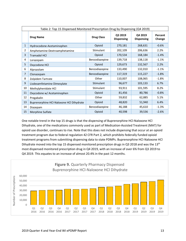| Table 2: Top 15 Dispensed Monitored Prescription Drug by Dispensing (Q4 2019) |                                          |                   |                              |                              |                   |
|-------------------------------------------------------------------------------|------------------------------------------|-------------------|------------------------------|------------------------------|-------------------|
|                                                                               | <b>Drug Name</b>                         | <b>Drug Class</b> | Q3 2019<br><b>Dispensing</b> | Q4 2019<br><b>Dispensing</b> | Percent<br>Change |
| 1                                                                             | Hydrocodone-Acetaminophen                | Opioid            | 270,181                      | 268,631                      | $-0.6%$           |
| 2                                                                             | Amphetamine-Dextroamphetamine            | Stimulant         | 202,109                      | 206,636                      | 2.2%              |
| 3                                                                             | <b>Tramadol HCI</b>                      | Opioid            | 170,534                      | 168,184                      | $-1.4%$           |
| 4                                                                             | Lorazepam                                | Benzodiazepine    | 139,718                      | 138,118                      | $-1.1%$           |
| 5.                                                                            | Oxycodone HCl                            | Opioid            | 129,673                      | 132,567                      | 2.2%              |
| 6                                                                             | Alprazolam                               | Benzodiazepine    | 133,490                      | 132,010                      | $-1.1%$           |
| $\overline{7}$                                                                | Clonazepam                               | Benzodiazepine    | 117,319                      | 115,227                      | $-1.8%$           |
| 8                                                                             | Zolpidem Tartrate                        | Other             | 110,007                      | 108,065                      | $-1.8%$           |
| 9                                                                             | Lisdexamfetamine Dimesylate              | Stimulant         | 96,677                       | 103,133                      | 6.7%              |
| 10                                                                            | Methylphenidate HCl                      | Stimulant         | 93,911                       | 101,595                      | 8.2%              |
| 11                                                                            | Oxycodone w/ Acetaminophen               | Opioid            | 81,456                       | 80,786                       | $-0.8%$           |
| 12                                                                            | Pregabalin                               | Other             | 59,832                       | 62,885                       | 5.1%              |
| 13                                                                            | Buprenorphine HCl-Naloxone HCl Dihydrate | Opioid            | 48,820                       | 51,940                       | 6.4%              |
| 14                                                                            | Diazepam                                 | Benzodiazepine    | 46,188                       | 45,610                       | $-1.3%$           |
| 15                                                                            | Morphine Sulfate                         | Opioid            | 40,598                       | 39,536                       | $-2.6%$           |

One notable trend in the top 15 drugs is that the dispensing of Buprenorphine HCl-Naloxone HCl Dihydrate, one of the medications commonly used as part of Medication-Assisted Treatment (MAT) for opioid use disorder, continues to rise. Note that this does not include dispensing that occur at an opioid treatment program due to federal regulation 42 CFR Part 2, which prohibits federally funded opioid treatment programs from submitting dispensing data to state PDMPs. Buprenorphine HCl-Naloxone HCl Dihydrate moved into the top 15 dispensed monitored prescription drugs in Q3 2018 and was the 13<sup>th</sup> most dispensed monitored prescription drug in Q4 2019, with an increase of over 6% from Q3 2019 to Q4 2019. This equates to an increase of almost 20.4% in the past 12 months.

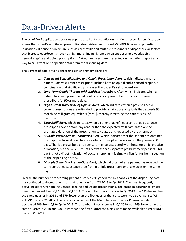#### Data-Driven Alerts

The WI ePDMP application performs sophisticated data analytics on a patient's prescription history to assess the patient's monitored prescription drug history and to alert WI ePDMP users to potential indications of abuse or diversion, such as early refills and multiple prescribers or dispensers, or factors that increase overdose risk, such as high morphine milligram equivalent doses and overlapping benzodiazepine and opioid prescriptions. Data-driven alerts are presented on the patient report as a way to call attention to specific detail from the dispensing data.

The 6 types of data-driven concerning patient history alerts are:

- 1. *Concurrent Benzodiazepine and Opioid Prescription Alert*, which indicates when a patient's active current prescriptions include both an opioid and a benzodiazepine, a combination that significantly increases the patient's risk of overdose.
- 2. *Long-Term Opioid Therapy with Multiple Prescribers Alert*, which indicates when a patient has been prescribed at least one opioid prescription from two or more prescribers for 90 or more days.
- 3. *High Current Daily Dose of Opioids Alert*, which indicates when a patient's active current prescriptions are estimated to provide a daily dose of opioids that exceeds 90 morphine milligram equivalents (MME), thereby increasing the patient's risk of overdose.
- 4. *Early Refill Alert*, which indicates when a patient has refilled a controlled substance prescription two or more days earlier than the expected refill date based on the estimated duration of the prescription calculated and reported by the pharmacy.
- 5. *Multiple Prescribers or Pharmacies Alert*, which indicates that the patient has obtained prescriptions from at least five prescribers or five pharmacies within the previous 90 days. The five prescribers or dispensers may be associated with the same clinic, practice or location, but the WI ePDMP still views them as separate prescribers/dispensers. This alert is not a direct indication of doctor shopping; it is simply a flag for further inspection of the dispensing history.
- 6. *Multiple Same Day Prescriptions Alert*, which indicates when a patient has received the same controlled substance drug from multiple prescribers or pharmacies on the same day.

Overall, the number of concerning patient history alerts generated by analytics of the dispensing data has continued to decrease, with a 1.4% reduction from Q3 2019 to Q4 2019. The most frequently occurring alert, Overlapping Benzodiazepine and Opioid prescriptions, decreased in occurrence by less than one percent from Q3 2019 to Q4 2019. The number of occurrences in Q4 2019 was 13% lower than the same quarter in 2018 and 37% lower than the first quarter the alerts were made available to WI ePDMP users in Q1 2017. The rate of occurrence of the Multiple Prescribers or Pharmacies alert decreased 20% from Q3 to Q4 in 2019. The number of occurrences in Q4 2019 was 26% lower than the same quarter in 2018 and 50% lower than the first quarter the alerts were made available to WI ePDMP users in Q1 2017.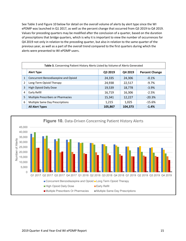See Table 3 and Figure 10 below for detail on the overall volume of alerts by alert type since the WI ePDMP was launched in Q1 2017, as well as the percent change that occurred from Q3 2019 to Q4 2019. Values for preceding quarters may be modified after the conclusion of a quarter, based on the duration of prescriptions that bridge quarters, which is why it is important to view the number of occurrences for Q4 2019 not only in relation to the preceding quarter, but also in relation to the same quarter of the previous year, as well as a part of the overall trend compared to the first quarters during which the alerts were presented to WI ePDMP users.

|                | Table 3. Concerning Patient History Alerts Listed by Volume of Alerts Generated |         |         |                       |  |
|----------------|---------------------------------------------------------------------------------|---------|---------|-----------------------|--|
|                | <b>Alert Type</b>                                                               | Q3 2019 | Q4 2019 | <b>Percent Change</b> |  |
| 1              | Concurrent Benzodiazepine and Opioid                                            | 24,335  | 24,306  | $-0.1%$               |  |
| $\overline{2}$ | Long-Term Opioid Therapy                                                        | 24,938  | 22,517  | $-9.7%$               |  |
| 3              | High Opioid Daily Dose                                                          | 19,539  | 18,778  | $-3.9%$               |  |
| 4              | Early Refill                                                                    | 16,719  | 16,306  | $-2.5%$               |  |
| 5              | Multiple Prescribers or Pharmacies                                              | 15,341  | 12,227  | $-20.3%$              |  |
| 6              | Multiple Same Day Prescriptions                                                 | 1,215   | 1,025   | $-15.6%$              |  |
|                | <b>All Alert Types</b>                                                          | 105,867 | 104,373 | $-1.4%$               |  |

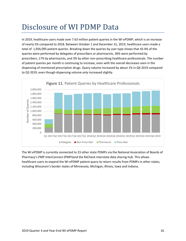#### Disclosure of WI PDMP Data

In 2019, healthcare users made over 7.63 million patient queries in the WI ePDMP, which is an increase of nearly 5% compared to 2018. Between October 1 and December 31, 2019, healthcare users made a total of 1,956,095 patient queries. Breaking down the queries by user type shows that 43.4% of the queries were performed by delegates of prescribers or pharmacists, 36% were performed by prescribers, 17% by pharmacists, and 3% by other non-prescribing healthcare professionals. The number of patient queries per month is continuing to increase, even with the overall decreases seen in the dispensing of monitored prescription drugs. Query volume increased by about 1% in Q4 2019 compared to Q3 2019, even though dispensing volume only increased slightly.



The WI ePDMP is currently connected to 23 other state PDMPs via the National Association of Boards of Pharmacy's PMP InterConnect (PMPi)and the RxCheck interstate data sharing hub. This allows healthcare users to expand the WI ePDMP patient query to return results from PDMPs in other states, including Wisconsin's border states of Minnesota, Michigan, Illinois, Iowa and Indiana.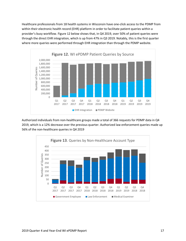Healthcare professionals from 18 health systems in Wisconsin have one-click access to the PDMP from within their electronic health record (EHR) platform in order to facilitate patient queries within a provider's busy workflow. Figure 12 below shows that, in Q4 2019, over 50% of patient queries were through the direct EHR integration, which is up from 47% in Q3 2019. Notably, this is the first quarter where more queries were performed through EHR integration than through the PDMP website.



Authorized individuals from non-healthcare groups made a total of 366 requests for PDMP data in Q4 2019, which is a 12% decrease over the previous quarter. Authorized law enforcement queries made up 56% of the non-healthcare queries in Q4 2019

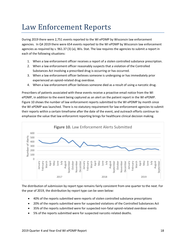#### Law Enforcement Reports

During 2019 there were 2,751 events reported to the WI ePDMP by Wisconsin law enforcement agencies. In Q4 2019 there were 654 events reported to the WI ePDMP by Wisconsin law enforcement agencies as required by s. 961.37 (3) (a), Wis. Stat. The law requires the agencies to submit a report in each of the following situations:

- 1. When a law enforcement officer receives a report of a stolen controlled substance prescription.
- 2. When a law enforcement officer reasonably suspects that a violation of the Controlled Substances Act involving a prescribed drug is occurring or has occurred.
- 3. When a law enforcement officer believes someone is undergoing or has immediately prior experienced an opioid-related drug overdose.
- 4. When a law enforcement officer believes someone died as a result of using a narcotic drug.

Prescribers of patients associated with these events receive a proactive email notice from the WI ePDMP, in addition to the event being captured as an alert on the patient report in the WI ePDMP. Figure 10 shows the number of law enforcement reports submitted to the WI ePDMP by month since the WI ePDMP was launched. There is no statutory requirement for law enforcement agencies to submit their reports within a certain timeframe after the date of the event, and outreach efforts continue to emphasize the value that law enforcemnt reporting brings for healthcare clinical decision making.



The distribution of submission by report type remains fairly consistent from one quarter to the next. For the year of 2019, the distribution by report type can be seen below:

- 40% of the reports submitted were reports of stolen controlled substance prescriptions
- 20% of the reports submitted were for suspected violations of the Controlled Substances Act
- 35% of the reports submitted were for suspected non-fatal opioid-related overdose events
- 5% of the reports submitted were for suspected narcotic-related deaths.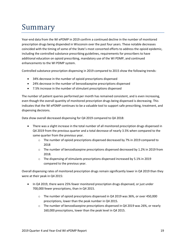## Summary

Year-end data from the WI ePDMP in 2019 confirm a continued decline in the number of monitored prescription drugs being dispended in Wisconsin over the past four years. These notable decreases coincided with the timing of some of the State's most concerted efforts to address the opioid epidemic, including the controlled substance prescribing guidelines, requirements for prescribers to have additional education on opioid prescribing, mandatory use of the WI PDMP, and continued enhancements to the WI PDMP system.

Controlled substance prescription dispensing in 2019 compared to 2015 show the following trends:

- 34% decrease in the number of opioid prescriptions dispensed
- 24% decrease in the number of benzodiazepine prescriptions dispensed
- 7.5% increase in the number of stimulant prescriptions dispensed

The number of patient queries performed per month has remained consistent, and is even increasing, even though the overall quantity of monitored prescription drugs being dispensed is decreasing. This indicates that the WI ePDMP continues to be a valuable tool to support safe prescribing, treatment, and dispensing decisions.

Data show overall decreased dispensing for Q4 2019 compared to Q4 2018:

- There was a slight increase in the total number of all monitored prescription drugs dispensed in Q4 2019 from the previous quarter and a total decrease of nearly 3.5% when compared to the same quarter from the previous year.
	- o The number of opioid prescriptions dispensed decreased by 7% in 2019 compared to 2018
	- $\circ$  The number of benzodiazepine prescriptions dispensed decreased by 1.2% in 2019 from 2018.
	- o The dispensing of stimulants prescriptions dispensed increased by 5.1% in 2019 compared to the previous year.

Overall dispensing rates of monitored prescription drugs remain significantly lower in Q4 2019 than they were at their peak in Q4 2015:

- In Q4 2019, there were 25% fewer monitored prescription drugs dispensed, or just under 700,000 fewer prescriptions, than in Q4 2015.
	- $\circ$  The number of opioid prescriptions dispensed in Q4 2019 was 36%, or over 450,000 prescriptions, lower than the peak number in Q4 2015.
	- $\circ$  The number of benzodiazepine prescriptions dispensed in Q4 2019 was 26%, or nearly 160,000 prescriptions, lower than the peak level in Q4 2015.